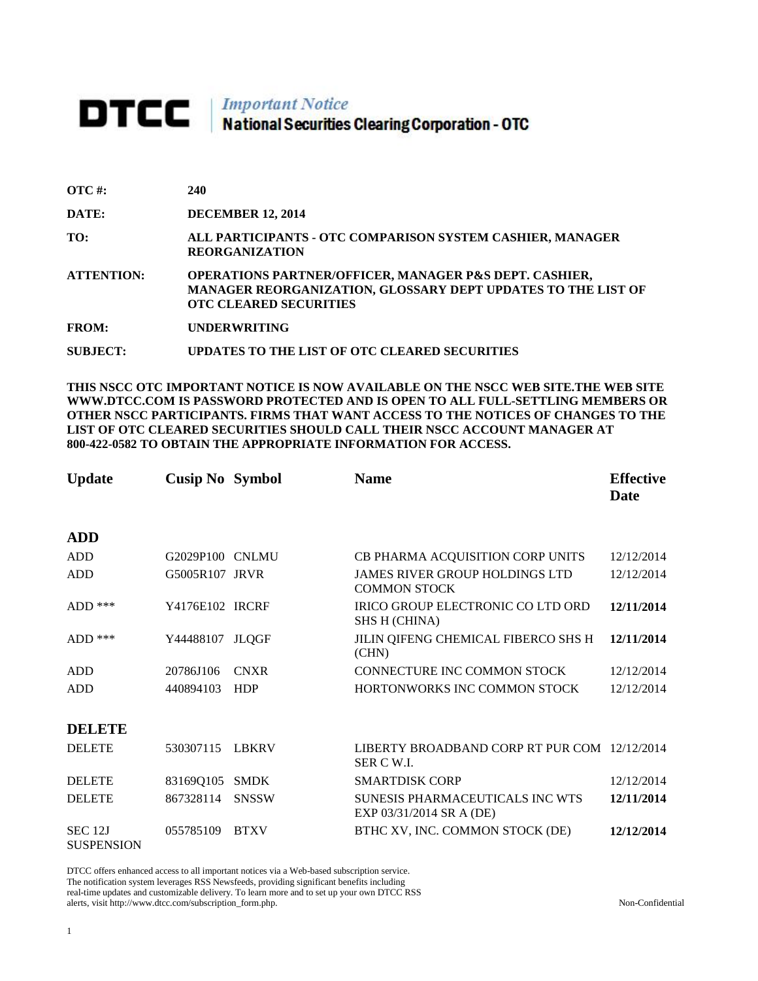## **DTCC** National Securities Clearing Corporation - OTC

| OTC #:       | 240                                                                                                                                                                |
|--------------|--------------------------------------------------------------------------------------------------------------------------------------------------------------------|
| <b>DATE:</b> | <b>DECEMBER 12, 2014</b>                                                                                                                                           |
| TO:          | ALL PARTICIPANTS - OTC COMPARISON SYSTEM CASHIER, MANAGER<br><b>REORGANIZATION</b>                                                                                 |
| ATTENTION:   | <b>OPERATIONS PARTNER/OFFICER, MANAGER P&amp;S DEPT. CASHIER,</b><br>MANAGER REORGANIZATION, GLOSSARY DEPT UPDATES TO THE LIST OF<br><b>OTC CLEARED SECURITIES</b> |
| <b>FROM:</b> | <b>UNDERWRITING</b>                                                                                                                                                |

**SUBJECT: UPDATES TO THE LIST OF OTC CLEARED SECURITIES**

**THIS NSCC OTC IMPORTANT NOTICE IS NOW AVAILABLE ON THE NSCC WEB SITE.THE WEB SITE WWW.DTCC.COM IS PASSWORD PROTECTED AND IS OPEN TO ALL FULL-SETTLING MEMBERS OR OTHER NSCC PARTICIPANTS. FIRMS THAT WANT ACCESS TO THE NOTICES OF CHANGES TO THE LIST OF OTC CLEARED SECURITIES SHOULD CALL THEIR NSCC ACCOUNT MANAGER AT 800-422-0582 TO OBTAIN THE APPROPRIATE INFORMATION FOR ACCESS.** 

| <b>Update</b>                       | <b>Cusip No Symbol</b> |              | <b>Name</b>                                                  | <b>Effective</b><br>Date |
|-------------------------------------|------------------------|--------------|--------------------------------------------------------------|--------------------------|
| <b>ADD</b>                          |                        |              |                                                              |                          |
| ADD                                 | G2029P100 CNLMU        |              | CB PHARMA ACQUISITION CORP UNITS                             | 12/12/2014               |
| ADD                                 | G5005R107 JRVR         |              | <b>JAMES RIVER GROUP HOLDINGS LTD</b><br><b>COMMON STOCK</b> | 12/12/2014               |
| $ADD$ ***                           | Y4176E102 IRCRF        |              | IRICO GROUP ELECTRONIC CO LTD ORD<br><b>SHS H (CHINA)</b>    | 12/11/2014               |
| $ADD$ ***                           | Y44488107              | <b>JLQGF</b> | JILIN QIFENG CHEMICAL FIBERCO SHS H<br>(CHN)                 | 12/11/2014               |
| <b>ADD</b>                          | 20786J106              | <b>CNXR</b>  | CONNECTURE INC COMMON STOCK                                  | 12/12/2014               |
| <b>ADD</b>                          | 440894103              | <b>HDP</b>   | HORTONWORKS INC COMMON STOCK                                 | 12/12/2014               |
| <b>DELETE</b>                       |                        |              |                                                              |                          |
| <b>DELETE</b>                       | 530307115              | <b>LBKRV</b> | LIBERTY BROADBAND CORP RT PUR COM 12/12/2014<br>SER C W.I.   |                          |
| <b>DELETE</b>                       | 83169Q105              | <b>SMDK</b>  | <b>SMARTDISK CORP</b>                                        | 12/12/2014               |
| <b>DELETE</b>                       | 867328114              | <b>SNSSW</b> | SUNESIS PHARMACEUTICALS INC WTS<br>EXP 03/31/2014 SR A (DE)  | 12/11/2014               |
| <b>SEC 12J</b><br><b>SUSPENSION</b> | 055785109              | <b>BTXV</b>  | BTHC XV, INC. COMMON STOCK (DE)                              | 12/12/2014               |

DTCC offers enhanced access to all important notices via a Web-based subscription service. The notification system leverages RSS Newsfeeds, providing significant benefits including real-time updates and customizable delivery. To learn more and to set up your own DTCC RSS alerts, visit http://www.dtcc.com/subscription\_form.php. Non-Confidential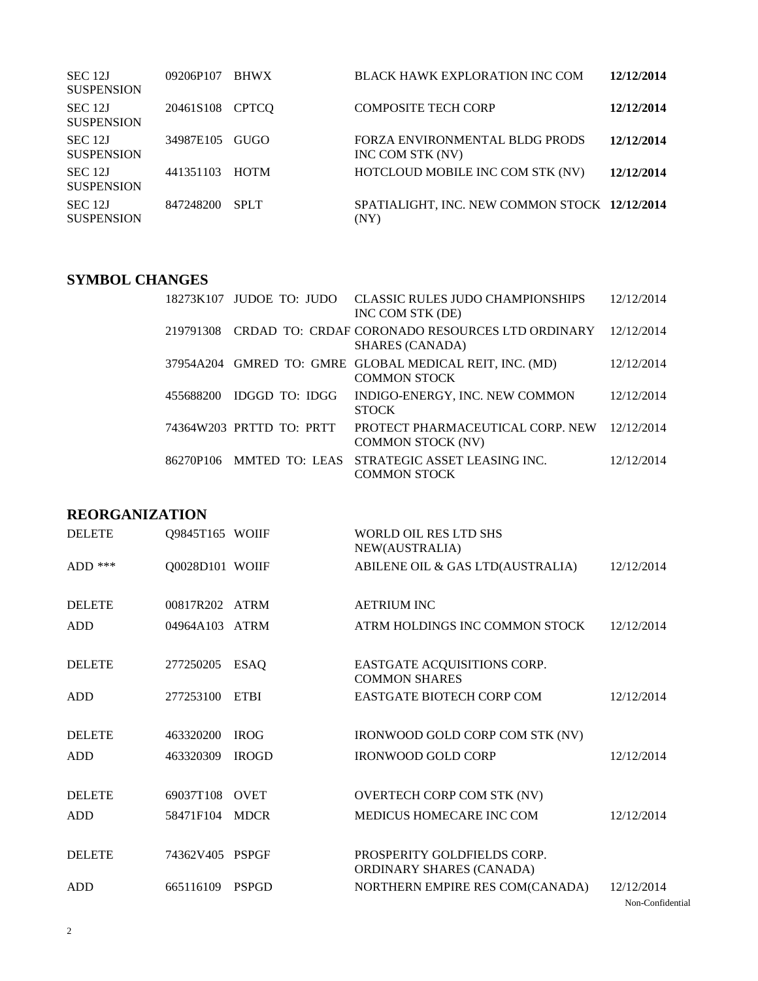| SEC 12J<br><b>SUSPENSION</b> | 09206P107 | <b>BHWX</b>  | <b>BLACK HAWK EXPLORATION INC COM</b>                 | 12/12/2014 |
|------------------------------|-----------|--------------|-------------------------------------------------------|------------|
| SEC 12J<br><b>SUSPENSION</b> | 20461S108 | <b>CPTCO</b> | <b>COMPOSITE TECH CORP</b>                            | 12/12/2014 |
| SEC 12J<br><b>SUSPENSION</b> | 34987E105 | GUGO         | FORZA ENVIRONMENTAL BLDG PRODS<br>INC COM STK (NV)    | 12/12/2014 |
| SEC 12J<br><b>SUSPENSION</b> | 441351103 | <b>HOTM</b>  | HOTCLOUD MOBILE INC COM STK (NV)                      | 12/12/2014 |
| SEC 12J<br><b>SUSPENSION</b> | 847248200 | <b>SPLT</b>  | SPATIALIGHT, INC. NEW COMMON STOCK 12/12/2014<br>(NY) |            |

## **SYMBOL CHANGES**

|           | 18273K107 JUDOE TO: JUDO | <b>CLASSIC RULES JUDO CHAMPIONSHIPS</b><br>INC COM STK (DE)                    | 12/12/2014 |
|-----------|--------------------------|--------------------------------------------------------------------------------|------------|
| 219791308 |                          | CRDAD TO: CRDAF CORONADO RESOURCES LTD ORDINARY<br><b>SHARES (CANADA)</b>      | 12/12/2014 |
|           |                          | 37954A204 GMRED TO: GMRE GLOBAL MEDICAL REIT, INC. (MD)<br><b>COMMON STOCK</b> | 12/12/2014 |
| 455688200 | IDGGD TO: IDGG           | INDIGO-ENERGY, INC. NEW COMMON<br><b>STOCK</b>                                 | 12/12/2014 |
|           | 74364W203 PRTTD TO: PRTT | PROTECT PHARMACEUTICAL CORP. NEW<br><b>COMMON STOCK (NV)</b>                   | 12/12/2014 |
| 86270P106 |                          | MMTED TO: LEAS STRATEGIC ASSET LEASING INC.<br><b>COMMON STOCK</b>             | 12/12/2014 |

## **REORGANIZATION**

| <b>DELETE</b> | Q9845T165 WOIIF |              | WORLD OIL RES LTD SHS<br>NEW(AUSTRALIA)                 |            |
|---------------|-----------------|--------------|---------------------------------------------------------|------------|
| ADD $***$     | Q0028D101 WOIIF |              | ABILENE OIL & GAS LTD(AUSTRALIA)                        | 12/12/2014 |
| <b>DELETE</b> | 00817R202 ATRM  |              | <b>AETRIUM INC</b>                                      |            |
| <b>ADD</b>    | 04964A103 ATRM  |              | ATRM HOLDINGS INC COMMON STOCK                          | 12/12/2014 |
| <b>DELETE</b> | 277250205       | <b>ESAQ</b>  | EASTGATE ACQUISITIONS CORP.<br><b>COMMON SHARES</b>     |            |
| <b>ADD</b>    | 277253100       | <b>ETBI</b>  | <b>EASTGATE BIOTECH CORP COM</b>                        | 12/12/2014 |
| <b>DELETE</b> | 463320200       | <b>IROG</b>  | IRONWOOD GOLD CORP COM STK (NV)                         |            |
| <b>ADD</b>    | 463320309       | <b>IROGD</b> | <b>IRONWOOD GOLD CORP</b>                               | 12/12/2014 |
| <b>DELETE</b> | 69037T108       | <b>OVET</b>  | <b>OVERTECH CORP COM STK (NV)</b>                       |            |
| <b>ADD</b>    | 58471F104       | <b>MDCR</b>  | MEDICUS HOMECARE INC COM                                | 12/12/2014 |
| <b>DELETE</b> | 74362V405 PSPGF |              | PROSPERITY GOLDFIELDS CORP.<br>ORDINARY SHARES (CANADA) |            |
| <b>ADD</b>    | 665116109       | <b>PSPGD</b> | NORTHERN EMPIRE RES COM(CANADA)                         | 12/12/2014 |

Non-Confidential